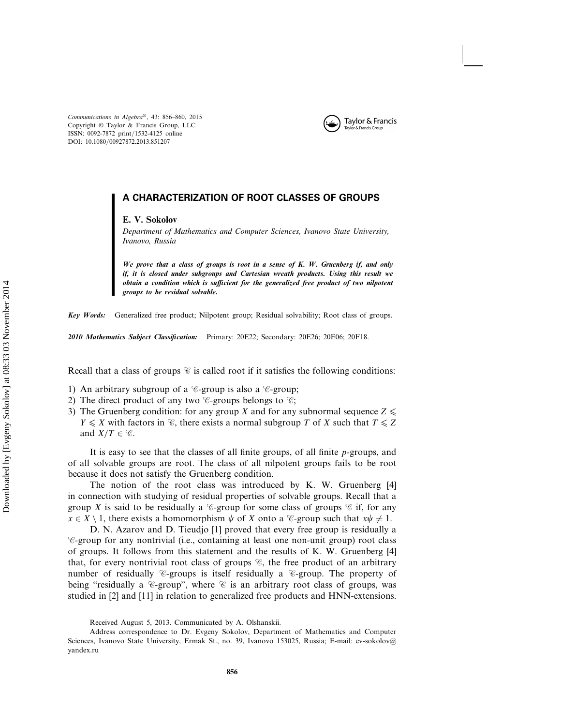*Communications in Algebra*®, 43: 856–860, 2015 Copyright © Taylor & Francis Group, LLC ISSN: 0092-7872 print/1532-4125 online DOI: 10.1080/00927872.2013.851207



# A CHARACTERIZATION OF ROOT CLASSES OF GROUPS

#### **E. V. Sokolov**

*Department of Mathematics and Computer Sciences, Ivanovo State University, Ivanovo, Russia*

*We prove that a class of groups is root in a sense of K. W. Gruenberg if, and only if, it is closed under subgroups and Cartesian wreath products. Using this result we obtain a condition which is sufficient for the generalized free product of two nilpotent groups to be residual solvable.*

*Key Words:* Generalized free product; Nilpotent group; Residual solvability; Root class of groups.

*2010 Mathematics Subject Classification:* Primary: 20E22; Secondary: 20E26; 20E06; 20F18.

Recall that a class of groups  $\mathscr{C}$  is called root if it satisfies the following conditions:

- 1) An arbitrary subgroup of a  $\mathcal C$ -group is also a  $\mathcal C$ -group;
- 2) The direct product of any two  $\mathscr{C}$ -groups belongs to  $\mathscr{C}$ ;
- 3) The Gruenberg condition: for any group X and for any subnormal sequence  $Z \leqslant$  $Y \leq X$  with factors in  $\mathcal{C}$ , there exists a normal subgroup T of X such that  $T \leq Z$ and  $X/T \in \mathscr{C}$ .

It is easy to see that the classes of all finite groups, of all finite  $p$ -groups, and of all solvable groups are root. The class of all nilpotent groups fails to be root because it does not satisfy the Gruenberg condition.

The notion of the root class was introduced by K. W. Gruenberg [4] in connection with studying of residual properties of solvable groups. Recall that a group X is said to be residually a  $\mathcal C$ -group for some class of groups  $\mathcal C$  if, for any  $x \in X \setminus 1$ , there exists a homomorphism  $\psi$  of X onto a  $\mathscr{C}$ -group such that  $x\psi \neq 1$ .

D. N. Azarov and D. Tieudjo [1] proved that every free group is residually a  $\mathscr{C}$ -group for any nontrivial (i.e., containing at least one non-unit group) root class of groups. It follows from this statement and the results of K. W. Gruenberg [4] that, for every nontrivial root class of groups  $\mathscr{C}$ , the free product of an arbitrary number of residually  $\mathscr{C}$ -groups is itself residually a  $\mathscr{C}$ -group. The property of being "residually a  $\mathscr C$ -group", where  $\mathscr C$  is an arbitrary root class of groups, was studied in [2] and [11] in relation to generalized free products and HNN-extensions.

Received August 5, 2013. Communicated by A. Olshanskii.

Address correspondence to Dr. Evgeny Sokolov, Department of Mathematics and Computer Sciences, Ivanovo State University, Ermak St., no. 39, Ivanovo 153025, Russia; E-mail: ev-sokolov@ yandex.ru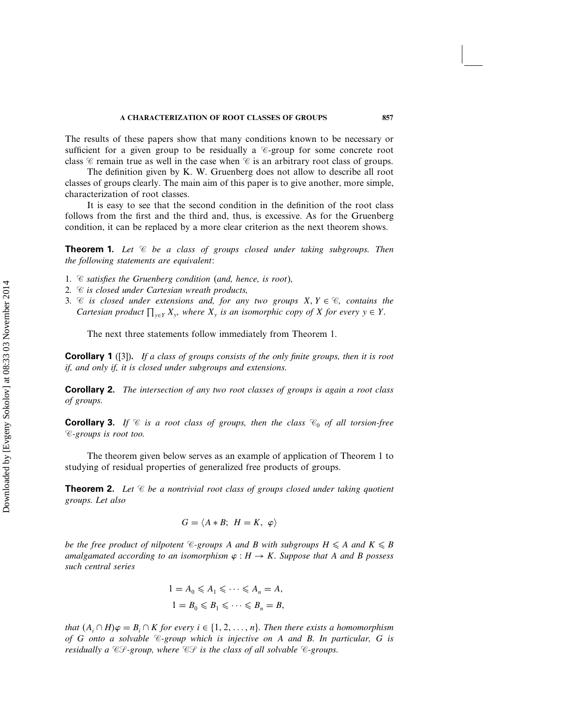The results of these papers show that many conditions known to be necessary or sufficient for a given group to be residually a  $\mathscr{C}$ -group for some concrete root class  $\mathscr C$  remain true as well in the case when  $\mathscr C$  is an arbitrary root class of groups.

The definition given by K. W. Gruenberg does not allow to describe all root classes of groups clearly. The main aim of this paper is to give another, more simple, characterization of root classes.

It is easy to see that the second condition in the definition of the root class follows from the first and the third and, thus, is excessive. As for the Gruenberg condition, it can be replaced by a more clear criterion as the next theorem shows.

Theorem 1. *Let be a class of groups closed under taking subgroups. Then the following statements are equivalent:*

- *1. satisfies the Gruenberg condition (and, hence, is root),*
- *2. is closed under Cartesian wreath products,*
- 3.  $\mathscr C$  *is closed under extensions and, for any two groups*  $X, Y \in \mathscr C$ *, contains the Cartesian product*  $\prod_{y \in Y} X_y$ *, where*  $X_y$  *is an isomorphic copy of*  $X$  *for every*  $y \in Y$ *.*

The next three statements follow immediately from Theorem 1.

Corollary 1 ([3]). *If a class of groups consists of the only finite groups, then it is root if, and only if, it is closed under subgroups and extensions.*

Corollary 2. *The intersection of any two root classes of groups is again a root class of groups.*

**Corollary 3.** If  $\mathcal{C}$  is a root class of groups, then the class  $\mathcal{C}_0$  of all torsion-free *-groups is root too.*

The theorem given below serves as an example of application of Theorem 1 to studying of residual properties of generalized free products of groups.

**Theorem 2.** Let  $\mathscr{C}$  be a nontrivial root class of groups closed under taking quotient *groups. Let also*

$$
G = \langle A * B; H = K, \varphi \rangle
$$

*be the free product of nilpotent*  $\mathscr{C}\text{-}grows A$  *and* B *with subgroups*  $H \leq A$  *and*  $K \leq B$ *amalgamated according to an isomorphism*  $\varphi : H \to K$ *. Suppose that* A *and* B *possess such central series*

$$
1 = A_0 \leq A_1 \leq \cdots \leq A_n = A,
$$
  

$$
1 = B_0 \leq B_1 \leq \cdots \leq B_n = B,
$$

*that*  $(A_i \cap H)\varphi = B_i \cap K$  *for every*  $i \in \{1, 2, ..., n\}$ . Then there exists a homomorphism *of* G *onto a solvable -group which is injective on* A *and* B*. In particular,* G *is residually a*  $\mathcal{CF}\text{-}group$ , where  $\mathcal{CF}$  is the class of all solvable  $\mathcal{C}\text{-}groups$ .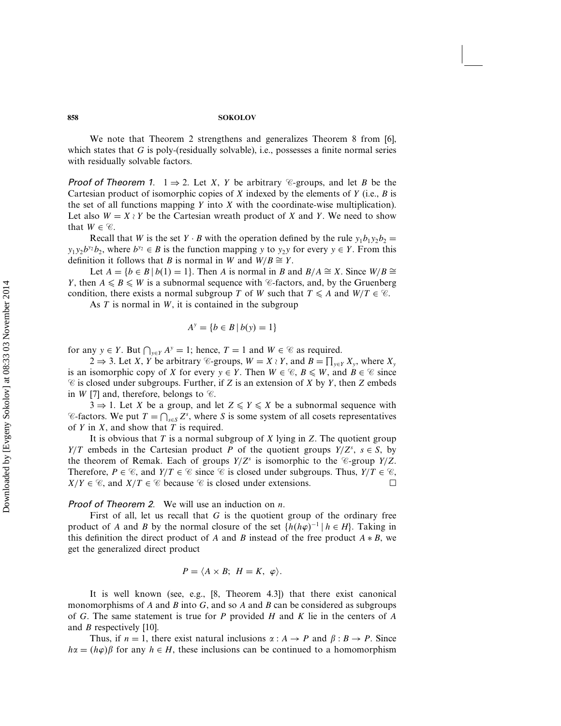### 858 SOKOLOV

We note that Theorem 2 strengthens and generalizes Theorem 8 from [6], which states that  $G$  is poly-(residually solvable), i.e., possesses a finite normal series with residually solvable factors.

**Proof of Theorem 1.** 1  $\Rightarrow$  2. Let X, Y be arbitrary  $\mathscr{C}$ -groups, and let B be the Cartesian product of isomorphic copies of X indexed by the elements of Y (i.e.,  $\hat{B}$  is the set of all functions mapping  $Y$  into  $X$  with the coordinate-wise multiplication). Let also  $W = X \wr Y$  be the Cartesian wreath product of X and Y. We need to show that  $W \in \mathcal{C}$ .

Recall that W is the set Y · B with the operation defined by the rule  $y_1b_1y_2b_2 =$  $y_1y_2b^{y_2}b_2$ , where  $b^{y_2} \in B$  is the function mapping y to  $y_2y$  for every  $y \in Y$ . From this definition it follows that *B* is normal in *W* and  $W/B \cong Y$ .

Let  $A = \{b \in B \mid b(1) = 1\}$ . Then A is normal in B and  $B/A \cong X$ . Since  $W/B \cong$ Y, then  $A \le B \le W$  is a subnormal sequence with  $\mathcal{C}$ -factors, and, by the Gruenberg condition, there exists a normal subgroup T of W such that  $T \leq A$  and  $W/T \in \mathcal{C}$ .

As  $T$  is normal in  $W$ , it is contained in the subgroup

$$
A^y = \{ b \in B \, | \, b(y) = 1 \}
$$

for any  $y \in Y$ . But  $\bigcap_{y \in Y} A^y = 1$ ; hence,  $T = 1$  and  $W \in \mathcal{C}$  as required.

2 ⇒ 3. Let *X*, *Y* be arbitrary *C*-groups,  $W = X \wr Y$ , and  $B = \prod_{y \in Y} X_y$ , where  $X_y$ is an isomorphic copy of X for every  $y \in Y$ . Then  $W \in \mathcal{C}, B \leq W$ , and  $B \in \mathcal{C}$  since  $\mathscr$  is closed under subgroups. Further, if Z is an extension of X by Y, then Z embeds in *W* [7] and, therefore, belongs to  $\mathscr{C}$ .

 $3 \Rightarrow 1$ . Let X be a group, and let  $Z \leq Y \leq X$  be a subnormal sequence with  $\mathscr{C}$ -factors. We put  $T = \bigcap_{s \in S} Z^s$ , where S is some system of all cosets representatives of  $Y$  in  $X$ , and show that  $T$  is required.

It is obvious that T is a normal subgroup of X lying in Z. The quotient group  $Y/T$  embeds in the Cartesian product P of the quotient groups  $Y/Z<sup>s</sup>$ ,  $s \in S$ , by the theorem of Remak. Each of groups  $Y/Z^s$  is isomorphic to the  $\mathcal{C}$ -group  $Y/Z$ . Therefore,  $P \in \mathcal{C}$ , and  $Y/T \in \mathcal{C}$  since  $\mathcal{C}$  is closed under subgroups. Thus,  $Y/T \in \mathcal{C}$ ,  $X/Y \in \mathcal{C}$ , and  $X/T \in \mathcal{C}$  because  $\mathcal{C}$  is closed under extensions.  $X/Y \in \mathcal{C}$ , and  $X/T \in \mathcal{C}$  because  $\mathcal{C}$  is closed under extensions.

**Proof of Theorem 2.** We will use an induction on  $n$ .

First of all, let us recall that  $G$  is the quotient group of the ordinary free product of A and B by the normal closure of the set  $\{h(h\varphi)^{-1} \mid h \in H\}$ . Taking in this definition the direct product of A and B instead of the free product  $A * B$ , we get the generalized direct product

$$
P = \langle A \times B; H = K, \varphi \rangle.
$$

It is well known (see, e.g., [8, Theorem 4.3]) that there exist canonical monomorphisms of A and B into G, and so A and B can be considered as subgroups of G. The same statement is true for P provided H and K lie in the centers of  $A$ and *B* respectively [10].

Thus, if  $n = 1$ , there exist natural inclusions  $\alpha : A \rightarrow P$  and  $\beta : B \rightarrow P$ . Since  $h\alpha = (h\varphi)\beta$  for any  $h \in H$ , these inclusions can be continued to a homomorphism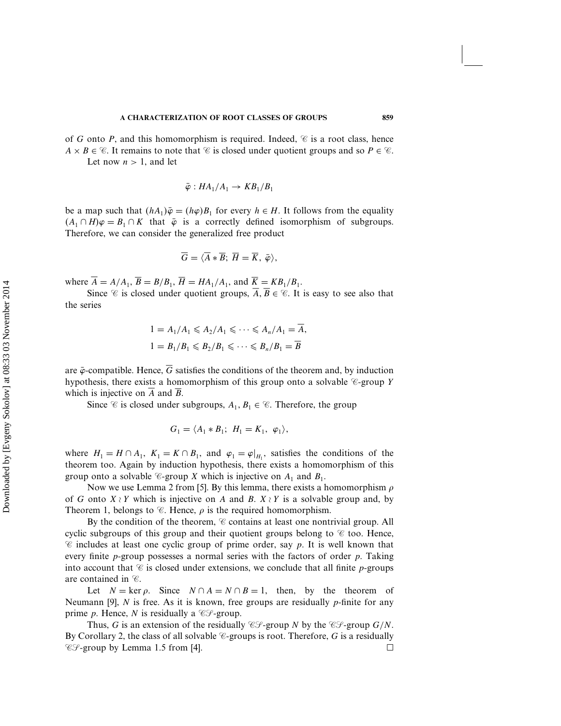of G onto P, and this homomorphism is required. Indeed,  $\mathscr{C}$  is a root class, hence  $A \times B \in \mathcal{C}$ . It remains to note that  $\mathcal{C}$  is closed under quotient groups and so  $P \in \mathcal{C}$ .

Let now  $n > 1$ , and let

$$
\bar{\varphi}: HA_1/A_1 \to KB_1/B_1
$$

be a map such that  $(hA_1)\bar{\varphi} = (h\varphi)B_1$  for every  $h \in H$ . It follows from the equality  $(A_1 \cap H)\varphi = B_1 \cap K$  that  $\bar{\varphi}$  is a correctly defined isomorphism of subgroups. Therefore, we can consider the generalized free product

$$
\overline{G}=\langle \overline{A}*\overline{B}; \ \overline{H}=\overline{K}, \ \overline{\varphi} \rangle,
$$

where  $\overline{A} = A/A_1$ ,  $\overline{B} = B/B_1$ ,  $\overline{H} = HA_1/A_1$ , and  $\overline{K} = KB_1/B_1$ .

Since  $\mathscr C$  is closed under quotient groups,  $A, B \in \mathscr C$ . It is easy to see also that the series

$$
1 = A_1/A_1 \leq A_2/A_1 \leq \cdots \leq A_n/A_1 = \overline{A},
$$
  

$$
1 = B_1/B_1 \leq B_2/B_1 \leq \cdots \leq B_n/B_1 = \overline{B}
$$

are  $\bar{\varphi}$ -compatible. Hence,  $\bar{G}$  satisfies the conditions of the theorem and, by induction hypothesis, there exists a homomorphism of this group onto a solvable  $\mathscr{C}$ -group Y which is injective on  $\overline{A}$  and  $\overline{B}$ .

Since  $\mathcal C$  is closed under subgroups,  $A_1, B_1 \in \mathcal C$ . Therefore, the group

$$
G_1 = \langle A_1 * B_1; H_1 = K_1, \varphi_1 \rangle,
$$

where  $H_1 = H \cap A_1$ ,  $K_1 = K \cap B_1$ , and  $\varphi_1 = \varphi|_{H_1}$ , satisfies the conditions of the theorem too. Again by induction hypothesis, there exists a homomorphism of this group onto a solvable  $\mathcal C$ -group X which is injective on  $A_1$  and  $B_1$ .

Now we use Lemma 2 from [5]. By this lemma, there exists a homomorphism  $\rho$ of G onto  $X \nmid Y$  which is injective on A and B.  $X \nmid Y$  is a solvable group and, by Theorem 1, belongs to  $\mathcal C$ . Hence,  $\rho$  is the required homomorphism.

By the condition of the theorem,  $\mathcal C$  contains at least one nontrivial group. All cyclic subgroups of this group and their quotient groups belong to  $\mathscr C$  too. Hence,  $\mathscr C$  includes at least one cyclic group of prime order, say p. It is well known that every finite  $p$ -group possesses a normal series with the factors of order  $p$ . Taking into account that  $\mathscr C$  is closed under extensions, we conclude that all finite p-groups are contained in  $\mathscr{C}$ .

Let  $N = \ker \rho$ . Since  $N \cap A = N \cap B = 1$ , then, by the theorem of Neumann [9],  $N$  is free. As it is known, free groups are residually  $p$ -finite for any prime p. Hence, N is residually a  $\mathcal{CF}-group$ .

Thus, G is an extension of the residually  $\mathcal{CF}\text{-group }N$  by the  $\mathcal{CF}\text{-group }G/N$ . By Corollary 2, the class of all solvable  $\mathcal{C}$ -groups is root. Therefore, G is a residually  $C^{\circ}$ -group by Lemma 1.5 from [4].  $\Box$